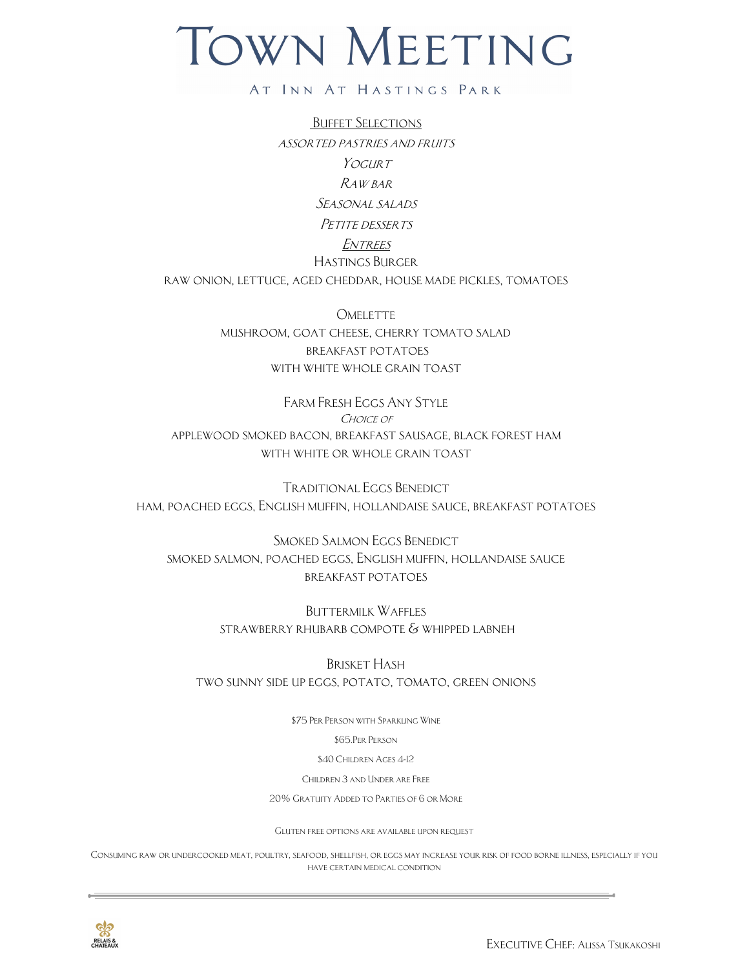## TOWN MEETING

## AT INN AT HASTINGS PARK

Buffet Selections assorted pastries and fruits YOGURT Raw bar Seasonal salads PETITE DESSERTS **ENTREES** Hastings Burger raw onion, lettuce, aged cheddar, house made pickles, tomatoes

> **OMELETTE** mushroom, goat cheese, cherry tomato salad breakfast potatoes with white whole grain toast

Farm Fresh Eggs Any Style CHOICE OF applewood smoked bacon, breakfast sausage, black forest ham with white or whole grain toast

Traditional Eggs Benedict ham, poached eggs, English muffin, hollandaise sauce, breakfast potatoes

SMOKED SALMON EGGS BENEDICT smoked salmon, poached eggs, English muffin, hollandaise sauce breakfast potatoes

> BUTTERMILK WAFFLES strawberry rhubarb compote & whipped labneh

Brisket Hash two sunny side up eggs, potato, tomato, green onions

\$75 Per Person with Sparkling Wine

\$65.Per Person

\$40 Children Ages 4-12

Children 3 and Under are Free

20% Gratuity Added to Parties of 6 or More

Gluten free options are available upon request

Consuming raw or undercooked meat, poultry, seafood, shellfish, or eggs may increase your risk of food borne illness, especially if you have certain medical condition